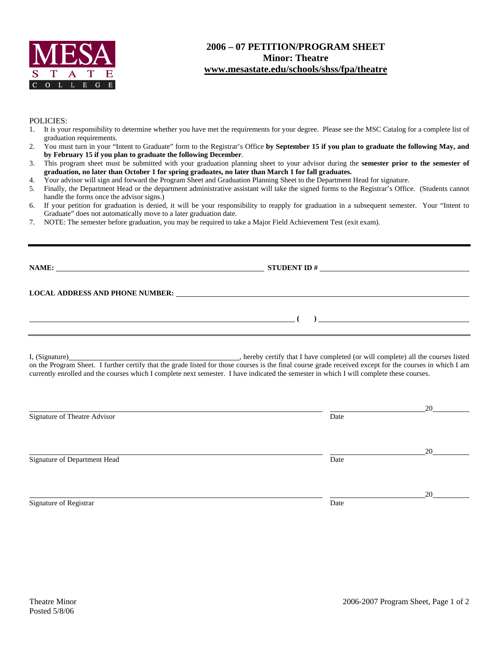

## **2006 – 07 PETITION/PROGRAM SHEET Minor: Theatre www.mesastate.edu/schools/shss/fpa/theatre**

## POLICIES:

- 1. It is your responsibility to determine whether you have met the requirements for your degree. Please see the MSC Catalog for a complete list of graduation requirements.
- 2. You must turn in your "Intent to Graduate" form to the Registrar's Office **by September 15 if you plan to graduate the following May, and by February 15 if you plan to graduate the following December**.
- 3. This program sheet must be submitted with your graduation planning sheet to your advisor during the **semester prior to the semester of graduation, no later than October 1 for spring graduates, no later than March 1 for fall graduates.**
- 4. Your advisor will sign and forward the Program Sheet and Graduation Planning Sheet to the Department Head for signature.
- 5. Finally, the Department Head or the department administrative assistant will take the signed forms to the Registrar's Office. (Students cannot handle the forms once the advisor signs.)
- 6. If your petition for graduation is denied, it will be your responsibility to reapply for graduation in a subsequent semester. Your "Intent to Graduate" does not automatically move to a later graduation date.
- 7. NOTE: The semester before graduation, you may be required to take a Major Field Achievement Test (exit exam).

| <b>NAME:</b><br><u> 1989 - Johann Barbara, martxa alemaniar argametria (h. 1989).</u>                                                                                                                                          |  |
|--------------------------------------------------------------------------------------------------------------------------------------------------------------------------------------------------------------------------------|--|
|                                                                                                                                                                                                                                |  |
| LOCAL ADDRESS AND PHONE NUMBER: The contract of the contract of the contract of the contract of the contract of the contract of the contract of the contract of the contract of the contract of the contract of the contract o |  |
|                                                                                                                                                                                                                                |  |
|                                                                                                                                                                                                                                |  |
|                                                                                                                                                                                                                                |  |

I, (Signature) , hereby certify that I have completed (or will complete) all the courses listed on the Program Sheet. I further certify that the grade listed for those courses is the final course grade received except for the courses in which I am currently enrolled and the courses which I complete next semester. I have indicated the semester in which I will complete these courses.

| Signature of Theatre Advisor | Date | 20 |
|------------------------------|------|----|
| Signature of Department Head | Date | 20 |
| Signature of Registrar       | Date | 20 |